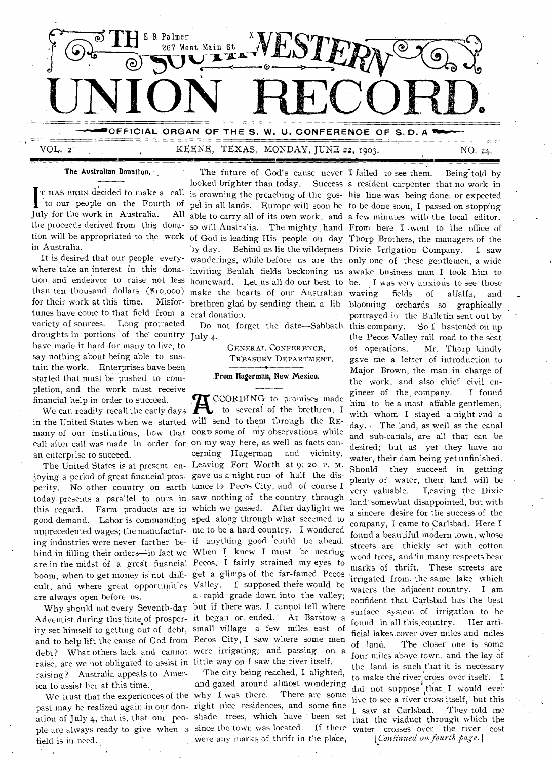

#### VOL. 2 KEENE, TEXAS, MONDAY, JUNE 22, 1903. NO. 24.

The Australian Donation.

I to our people on the Fourth of T HAS BEEN decided to make a call July for the work in Australia. in Australia.

for their work at this time. tunes have come to that field from a eral donation. variety of sources. Long protracted droughts in portions of the country July 4. have made it hard for many to live, to say nothing about being able to sustain the work. Enterprises have been started that must be pushed to completion, and the work must receive financial help in order to succeed.

We can readily recall the early days many of our institutions, how that CORD some of my observations while call after call was made in order for on my way here, as well as facts conan enterprise to succeed.

joying a period of great financial pros-gave us a night run of half the disperity. No other country on earth tance to Pecos City, and of course I today presents a parallel to ours in saw nothing of the country through this regard. Farm products are in which we passed. After daylight we good demand. Labor is commanding sped along through what seeemed to unprecedented wages; the manufactur-me to be a hard country. I wondered ing industries were never farther be-if anything good could be ahead. hind in filling their orders-in fact we When I knew I must be nearing are in the midst of a great financial Pecos, I fairly strained my eyes to boom, when to get money is not diffi- get a glimps of the far-famed Pecos cult, and where great opportunities Valley. I supposed there would be are always open before us.

ity set himself to getting out of debt, small village a few miles east of raise, are we not obligated to assist in little way on I saw the river itself. raising? Australia appeals to America to assist her at this time.,

field is in need.

 $\mathcal{L}$ 

the proceeds derived from this dona-so will Australia. The mighty hand From here I went to the office of tion will be appropriated to the work of God is leading His people on day Thorp Brothers, the managers of the It is desired that our people every-wanderings, while before us are the only one of these gentlemen, a wide where take an interest in this dona-inviting Beulah fields beckoning us awake business man I took him to tion and endeavor to raise not less homeward. Let us all do our best to be. I was very anxious to see those than ten thousand dollars (\$10,00o) make the hearts of our Australian looked brighter than today. Success a resident carpenter that no work in is crowning the preaching of the gos-his line was being done, or expected pel in all lands. Europe will soon be to be done soon, I passed on stopping able to carry all of its own work, and a few minutes with the local editor. by day. Behind us lie the wilderness Dixie Irrigation Company. I saw brethren glad by sending them a lib-blooming orchards so graphically

Do not forget the date—Sabbath

GENERAL CONFERENCE, TREASURY DEPARTMENT.

# From Hagerman, New Mexico.

financial help in order to succeed.<br>
We can readily recall the early days<br>
in the United States when we started will send to them through the RE-The United States is at present en-Leaving Fort Worth at 9: 20 P. M. Why should not every Seventh-day but if there was, I cannot tell where Adventist during this time of prosper-it began or. ended. At Barstow a and to help lift the cause of God from Pecos City, I saw where some men debt? What others lack and cannot were irrigating; and passing on. a CCORDING to promises made to several of the brethren, I cerning Hagerman and vicinity. a rapid grade down into the valley;

We trust that the experiences of the why I was there. There are some past may be realized again in our don-right nice residences, and some fine ation of July 4, that is, that our peo-shade trees, which have been set ple are always ready to give when a since the town was located. If there The city being reached, I alighted, and gazed around almost wondering were any marks of thrift in the place,

The future of God's cause never I failed to see them. Being told by waving fields of alfalfa, and portrayed in the Bulletin sent out by So I hastened on up the Pecos Valley rail road to the seat of operations. Mr. Thorp kindly gave me a letter of introduction to Major Brown, the man in charge of the work, and also chief civil engineer of the, company. I found him to be a most affable gentlemen, with whom I stayed a night and a day. The land, as well as the canal and sub-canals, are all that can be desired; but ag yet they have no water, their dam being yet unfinished. Should they succeed in getting plenty of water, their land will be very valuable. Leaving the Dixie land somewhat disappointed, but with a sincere desire for the success of the company, I came to Carlsbad. Here I found a beautiful modern town, whose streets are thickly set with cotton wood trees, and `in many respects bear marks of thrift. These streets are irrigated from the same lake which waters the adjacent country. I am confident that Carlsbad has the best surface system of irrigation to be found in all this.country. Her artificial lakes cover over miles and miles of land. The closer one is some four miles above town, and the lay of the land is such that it is necessary to make the river cross over itself. I did not suppose that I would ever live to see a river cross itself, but this I saw at Carlsbad. They told me that the viaduct through which the water crosses over the river cost

*[Continued on. fourth page.]*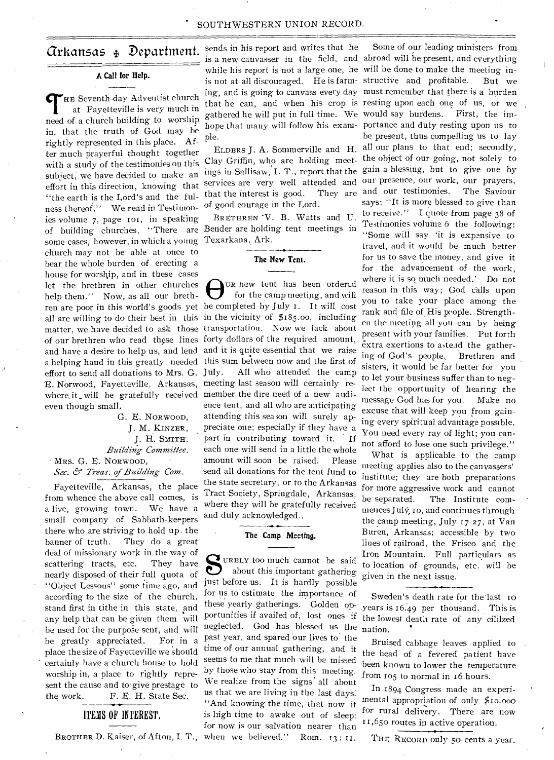#### **A Call for Help.**

THE Seventh-day Adventist church<br>
at Fayetteville is very much in at Fayetteville is very much in need of a church building to worship in, that the truth of God may be rightly represented in this place. After much prayerful thought together with a study of the testimonies on this subject, we have decided to make an effort in this direction, knowing that "the earth is the Lord's and the fulness thereof." We read in Testimonies volume 7, page 101, in speaking of building churches, "There are Bender are holding tent meetings in some cases, however, in which a young church may not be able at once to bear the whole burden of erecting a house for worship, and in these cases let the brethren in other churches help them." Now, as all our brethlet the brethren in other churches  $\bigoplus_{\text{tr}}$  we tent has been ordered help them.'' Now, as all our breth-  $\bigoplus_{\text{tr}}$  for the camp meeting, and will ren are poor in this world's goods yet be completed by July 1. It wi all are willing to do their best in this in the vicinity of \$185.00, including matter, we have decided to ask those transportation. Now we lack about of our brethren who read these lines forty dollars of the required amount, and have a desire to help us, and lend and it is quite essential that we raise a helping hand in this greatly needed this sum between now and the first of effort to send all donations to Mrs. G. E. Norwood, Fayetteville, Arkansas, meeting last season will certainly rewhere it will be gratefully received member the dire need of a new audieven though small.

G. E. NORWOOD, J. M. KINZER, j. H. SMITH. *Building Committee.*  MRS. G. E. NoRwooD,

Sec. & Treas. of Building Com.

Fayetteville, Arkansas, the place from whence the above call comes, is a live, growing town. We have a small company of Sabbath-keepers there who are striving to hold up. the banner of truth. They do a great deal of missionary work in the way of scattering tracts, etc. They have nearly disposed of their full quota of "Object Lessons" some time ago, and according to the size of the church, stand first in tithe in this state, and any help that can be given them will be used for the purpose sent, and will be greatly appreciated. For in a place the size of Fayetteville we should certainly have a church house to hold worship in, a place to rightly represent the cause and to'give prestage to the work. F. E. H. State Sec.

#### ITEMS OF INTEREST.

BROTHER D. Kaiser, of Afton, I. T., when we believed." Rom. 13 : II.

**Arkansas**  $\oint$  **Department.** sends in his report and writes that he ple.

> services are very well attended and that the interest is good. of good courage in the Lord.

BRETHREN 'V. B. Watts and U. Texarkana, Ark.

#### **The New Tcnt.**

UR new tent has been ordered for the camp meeting, and will All who attended the camp ence tent, and all who are anticipating attending this sea son will surely appreciate one; especially if they have a part in contributing toward it. If each one will send in a little the whole amount will soon be raised. Please send all donations for the tent fund to the state secretary, or to the Arkansas Tract Society, Springdale, Arkansas, where they will be gratefully received and duly acknowledged..

#### **The Camp Meeting.**

 $S_{\scriptscriptstyle \rm inst}$ uREEv too much cannot be said about this important gathering just before us. It is hardly possible for us to estimate the importance of portunities if availed of, lost ones if neglected. God has blessed us the past year, and spared our lives to the time of our annual gathering, and it seems to me that much will be missed by those who stay from this meeting. We realize from the signs' all about us that we are living in the last days. "And knowing the time, that now it is high time to awake out of sleep: for now is our salvation nearer than

is a new canvasser in the field, and abroad will be present, and everything while his report is not a large one, he will be done to make the meeting inis not at all discouraged. He is farm-structive and profitable. But we ing, and is going to canvass every day must remember that there is a burden that he can, and when his crop is resting upon each one of us, or we gathered he will put in full time. We would say burdens. First, the imhope that many will follow his exam-portance and duty resting upon us to ELDERS J. A. Sommerville and H. all our plans to that end; secondly, Clay Griffin, who are holding meet-the object of our going, not solely to ings in Sallisaw, I. T., report that the gain a blessing, but to give one by Some of our leading ministers from be present, thus compelling us to lay our presence, our work, our prayers, They are and our testimonies. The Saviour says: "It is more blessed to give than to receive." I quote from page 38 of Testimonies volume 6 the following: "Some will say 'it is expensive to travel, and it would be much better for us to save the money, and give it for the advancement of the work, where it is so much needed.' Do not reason in this way; God calls upon you to take your place among the rank and file of His people. Strengthen the meeting all you can by being present with your families. Put forth extra exertions to astead the gathering of God's people. Brethren and sisters, it would be far better for you to let your business suffer than to neglect the opportunity of hearing the message God has for you. Make no excuse that will keep you from gaining every spiritual advantage possible. You need every ray of light; you cannot afford to lose one such privilege."

> What is applicable to the camp meeting applies also to the canvassers' institute; they are both preparations for more aggressive work and cannot<br>be separated. The Institute com-The Institute commences July', ro, and continues through the camp meeting, July 17-27, at Van Buren, Arkansas; accessible by two lines of railroad, the Frisco and the Iron Mountain. Full particulars as to location of grounds, etc. will be given in the next issue.

these yearly gatherings. Golden op-\_years is 16.49 per thousand. This is Sweden's death rate for the'last ro the lowest death rate of any cililzed nation.

> Bruised cabbage leaves applied to the head of a fevered patient have been known to lower the temperature from 105 to normal in 16 hours.

> In 1894 Congress made an experimental appropriation of only \$10.000 for rural delivery. There are now I 1 ,65o routes in active operation.

THE RECORD only *5o* cents a year.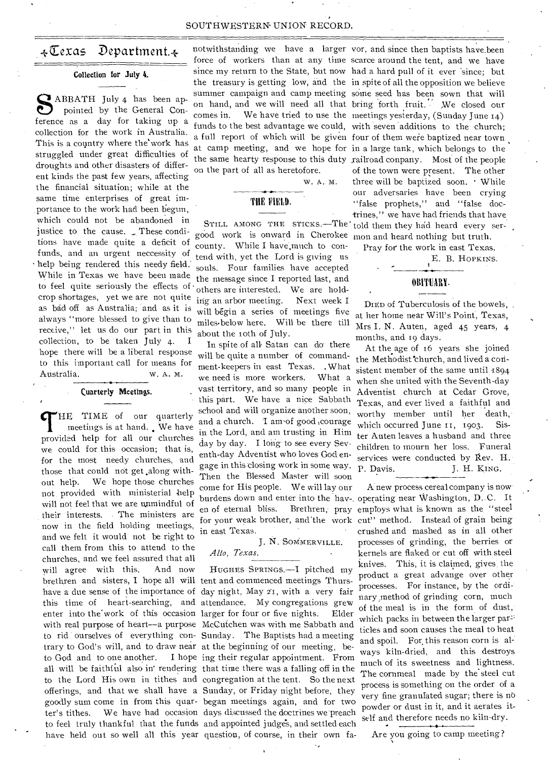#### SOUTHWESTERN UNION RECORD.

### $\leftarrow$  Texas Department. $\leftarrow$

#### Collection for July 4.

ABBATH July 4 has been appointed by the General Conpointed by the General Conference as a day for taking up a collection for the work in Australia. This is a country where the'work has struggled under great difficulties of droughts and other disasters of different kinds the past few years, affecting the financial situation; while at the same time enterprises of great importance to the work had been begun, which could not be abandoned in justice to the cause. These conditions have made quite a deficit of funds, and an urgent neccessity of help being rendered this needy field. While in Texas we have been made to feel quite seriously the effects of • crop shortages, yet we are not quite as bad off as Australia; and as it is always "more blessed to give than to receive," let us do our part in this collection, to be taken July 4. I hope there will be a liberal response to this important call for means for Australia. w. A. M.

#### Cuarterly Meetings.

THE TIME of our quarterly meetings is at hand. We have provided help for all our churches HE TIME of our quarterly meetings is at hand. We have we could for this occasion; that is, for the most needy churches, and those that could not get ,along without help. We hope those churches not provided with ministerial help will not feel that we are unmindful of their interests. . The ministers are now in the field holding meetings, and we felt it would not be right to call them from this to attend to the churches, and we feel assured that all will agree with this. And now brethren and sisters, I hope all will tent and commenced meetings Thurshave a due sense of the importance of day night, May 21, with a very fair this time of heart-searching, and attendance. My congregations grew enter into the' work of this occasion larger for four or five nights. Elder with real purpose of heart—a purpose McCutchen was with me Sabbath and to rid ourselves of everything con-Sunday. The Baptists had a meeting trary to God's will, and to draw near at the beginning of our meeting, beto God and to one another. all will be faithful also in' rendering that time there was a falling off in the have held out so well all this year question, of course, in their own fa-

notwithstanding we have a larger vor, and since then baptists have.been on the part of all as heretofore.

W. A. M.

#### THE FIELD.

good work is onward in Cherokee mon and heard nothing but truth. county. While I have much to contend with, yet the Lord is giving us souls. Four families have accepted the message since I reported last, and others are interested. We are holding an arbor meeting. Next week I will begin a series of meetings five miles.below here. Will be there till about the roth of July.

In spite of all Satan can do there will be quite a number of commandment-keepers in east Texas. . What we need is more workers. What a vast territory, and so many people in this part. We have a nice Sabbath school and will organize another soon, and a church. 'I am-of good ,courage in the Lord, and am trusting in Him day by day. I long to see every Seventh-day Adventist who loves God engage in this dosing work in some way. Then the Blessed Master will soon come for His people. We will lay our burdens down and enter into the hav-, operating near Washington, D.C. It en of eternal bliss. for your weak brother, and'the work in east Texas.

J. N. SOMMERVILLE. *Alto, Texas.* 

to the Lord His own in tithes and congregation at the tent. So the next offerings, and that we shall have a Sunday, or Friday night before, they goodly sum come in from this quar-began meetings again, and for two ter's tithes. We have had occasion days discussed the doctrines we'preach to feel truly thankful that the funds and appointed judge's, and settled each HUGHES SPRINGS.—I pitched my I hope ing their regular appointment. From

STILL AMONG THE STICKS.—The told them they had heard every serforce of workers than at any time scarce around the tent, and we have since my return to the State, but now had a hard pull of it ever since; but the treasury is getting low, and the in spite of all the opposition we believe summer campaign and camp meeting some seed has been sown that will on hand, and we will need all that bring forth fruit. We closed our comes in. We have tried to use the meetings yesterday, (Sunday June 14) funds to the best advantage we could, with seven additions to the church; a full report of which will be given four of them weie baptized near town at camp meeting, and we hope for in a large tank, which belongs to the the same hearty response to this duty railroad conpany. Most of the people of the town were present. The other three will be baptized soon. • While our adversaries have been crying "false prophets," and "false doctrines," we have had friends that have.

Pray for the work in east Texas.

E. B. HOPKINS.

#### OBITUARY.

DIED of Tuberculosis of the bowels, at her home near Will's Point, Texas, Mrs. I. N. Auten, aged 45 years, 4 months, and 19 days.

At the age of 16 years she joined the Methodist church, and lived a consistent member of the same until 1894 when she united with the Seventh-day Adventist church at Cedar Grove, Texas, and ever lived a faithful and worthy member until her death, which occurred June 11, 1903. Sister Auten leaves a husband and three children to mourn her loss. Funeral services were conducted by Rev. H. P. Davis. J. H. KING.

A new process cereal company is now Brethren, pray employs what is known as the "steel cut" method. Instead of grain being crushed and mashed as in all other processes of grinding, the berries or kernels are flaked or cut off with steel knives. This, it is claimed, gives the product a great advange over other processes. For instance, by the ordinary method of grinding corn, much of the meal is in the form of dust, which packs in between the larger partidies and soon causes the meal to heat and spoil. For this reason corn is always kiln-dried, and this destroys much of its sweetness and lightness. The cornmeal made by the steel cut process is something on the order of a very fine granulated sugar; there is no powder or dust in it, and it aerates itself and therefore needs no kiln-dry.

Are you going to camp meeting?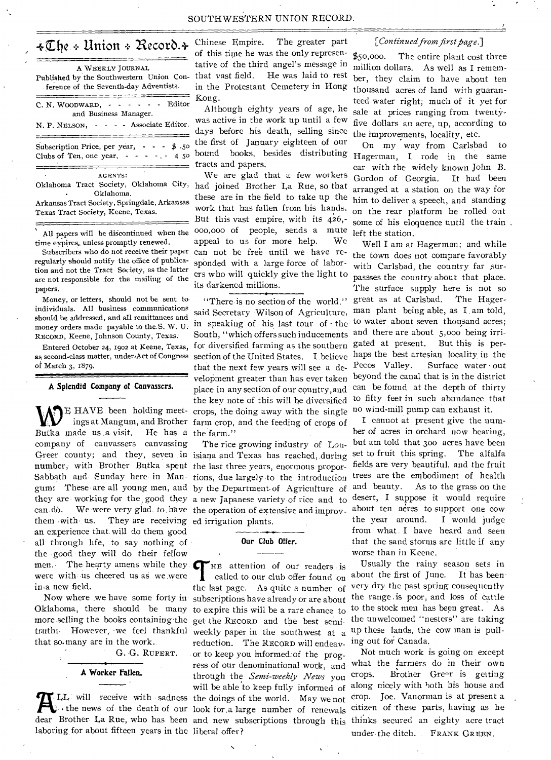#### SOUTHWESTERN UNION RECORD.

### $\texttt{\{The}\texttt{+} \texttt{Union} \texttt{+} \texttt{Recor} \texttt{0} \texttt{+}$

| A WEEKLY JOURNAL<br>Published by the Southwestern Union Con-<br>ference of the Seventh-day Adventists. |
|--------------------------------------------------------------------------------------------------------|
| - - - - - Editor<br>C. N. WOODWARD. -<br>and Business Manager.                                         |
| N. P. NELSON, - - - - Associate Editor.                                                                |
| Subscription Price, per year, $\cdot \cdot \cdot$ \$ .50<br>Clubs of Ten, one year, $- - - - - 45$     |
| <b>AGENTS:</b><br>Oklahoma Tract Society, Oklahoma City,<br>Oklahoma.<br>.                             |

Arkansas Tract Society, Springdale, Arkansas Texas Tract Society, Keene, Texas.

All papers will be digcontinued when the time expires,. unless promptly renewed.

Subscribers who do not receive their paper regularly should notify the office of publication and not the Tract Society, as the latter are not responsible for the mailing of the papers.

Money, or letters, should not be sent to individuals. All business communications should be addressed, and all remittances and money orders made payable to the. S. W. U. RECORD, Keene, Johnson County, Texas.

as second-class matter, under,Act of Congress of March 3, 1879.

**A Splendid Company of Canvassers.** 

Butka made us a visit. company of canvassers canvassing **number,** with Brother Butka spent the last three years, enormous proporcan do. We were very glad to have the operation of extensive and improvthem with us. They are receiving ed irrigation plants. an experience that will do them good all through life, to say nothing of the good they will do their fellow men. The hearty amens while they were with us cheered us as we were in<sub>a</sub> new field. He has a the farm."

more selling the books containing-the get the RECORD and the best semithat so,many are in the work.

G. G. RuPERT.

#### **A Worker Fallen.**

laboring for about fifteen years in the liberal offer?

Chinese Empire. The greater part of this time he was the only representative of the third angel's message in that vast field. He was laid to rest in the Protestant Cemetery in Hong Kong.

Although eighty years of age, he was active in the work up until a few days before his death, selling since the first of January eighteen of our bound books, besides distributing tracts and papers.

We are glad that a few workers had joined Brother La Rue, so that these are in the field to take up the work that has fallen from his hands. But this vast empire, with its  $426$ ,-000,00o of people, sends a mute appeal to us for more help. We can not be free until we have responded with a large force of laborers who will quickly give the light to its darkened millions,

Entered October 24, 1902 at Keene, Texas, for diversified farming as the southern gated at present. But this is per-WE HAVE been holding meet- crops, the doing away with the single<br>ings at Mangum, and Brother farm crop, and the feeding of crops of<br>Putka made us a visit. He has a the farm." "There is no section of the world," said Secretary Wilson of Agriculture, in speaking of his last tour of  $\cdot$  the South, "which offers such inducements section of the United States. I believe that the next few years will see a development greater than has ever taken place in any section of our country,and the key note of this will be diversified E HAVE been holding meet- crops, the doing away with the single

Greer county; and they, seven in isiana and Texas has reached, during Sabbath and Sunday here in Man- tions, due largely to the introduction gum: These are all young men, and by the Department of Agriculture of they are working for the good they a new Japanese variety of rice and to desert, I suppose it would require The rice growing industry of Lou-

#### **Our Club Offer.**

•

Now where we have some forty in subscriptions have already or are about Oklahoma, there should be many to expire this will be a rare chance to truth: However, we feel thankful weekly paper in the southwest at a LL will receive with sadness the doings of the world. May we not • the news of the death of our look for,a large number of renewals HE attention of our readers is called to our club offer found on the last page. As quite a number of reduction. The RECORD will endeavor to keep you informed: of the progress of our denominational work, and through the *Semi-weekly News* you will be able to keep fully informed of

#### *[Continued from first page.]*

\$50,000. The entire plant cost three million dollars. As well as I remember, they claim to have about ten thousand acres of land with guaranteed water right; much of it yet for sale at prices ranging from twentyfive dollars an acre, up, according to the improvements, locality, etc.

On my way from Carlsbad to Hagerman, I rode in the same car with the widely known John B. Gordon of Georgia. It had been arranged at a station on the way for him to deliver a speech, and standing on the rear platform he rolled out some of his eloquence until the train left the station.

Well I am at Hagerman; and while the town does not compare favorably with Carlsbad, the country far surpassses the country about that place. The surface supply here is not so great as at Carlsbad. The Hagerman plant being able, as **I.** am told, to water about seven thousand acres; and there are about 5,000 being irrihaps the best artesian locality in the Pecos Valley. Surface water out beyond the canal that is in the district can be found at the depth of thirty to fifty feet in such abundance that no wind-mill pump can exhaust it.

I cannot at present give the number of acres in orchard now bearing, but am told that 300 acres have been set to fruit this spring. The alfalfa fields are very beautiful, and the fruit trees are the embodiment of health and beauty. As to the grass on the about ten acres to support one cow the year around. I would judge from what. I have heard and seen that the sand storms are little if any worse than in Keene.

Usually the rainy season sets in about the first of June. It has beenvery dry the past spring consequently the range ,is poor, and loss of cattle to the stock men has been great. As the unwelcomed "nesters" are taking up these lands, the cow man is pulling out for Canada.

dear Brother La Rue, who has been and new subscriptions through this thinks secured an eighty acre tract Not much work is going on except what the farmers do in their own crops. Brother Gre-r is getting along nicely with both his house and crop. Joe. Vanorman is at present a citizen of these parts, having as he under the ditch. FRANK GREEN.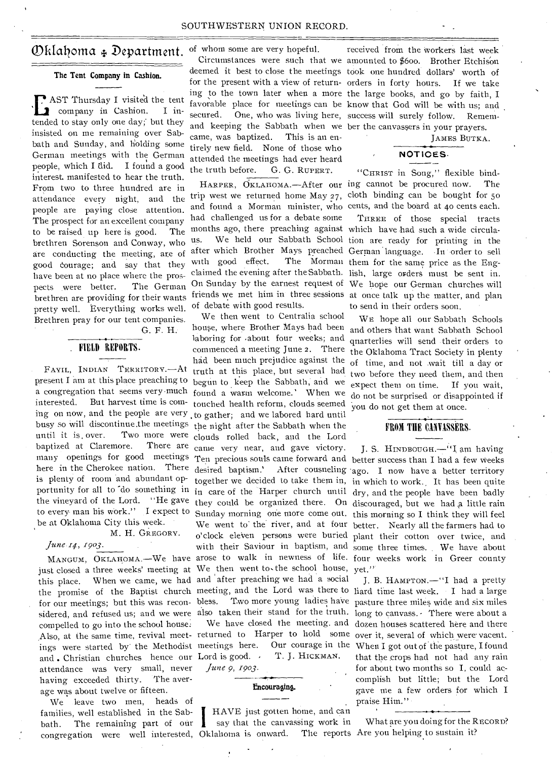### Oklahoma + Department. of whom some are very hopeful.

#### **The Tent Company in Cashion.**

**E** AST Thursday I visited the tent company in Cashion. I intended to stay only one day;' but they insisted on me remaining over Sabbath and Sunday, and holding some German meetings with the German people, which I did. I found a good interest, manifested to hear the truth. From two to three hundred are in attendance every night, and the people are paying close attention. The prospect for an excellent company to be raised up here is good. The brethren Sorenson and Conway, who are conducting the meeting, are of good courage; and say that they have been at no place where the prospects were better. The German brethren are providing for their wants pretty well. Everything works well. Brethren pray for our tent companies.

G. F. H.

#### FIELD REPORTS.

FAYIL, INDIAN TERRITORY.—At present I am at this place preaching to begun to keep the Sabbath, and we a congregation that seems very much found a warm welcome.' When we interested. But harvest time is com-touched health reform, clouds seemed ing on now, and the people are very to gather; and we labored hard until busy so will discontinue.the meetings the night after the Sabbath when the until it is, over. Two more were clouds rolled back, and the Lord baptized at Claremore. here in the Cherokee nation. There desired baptism.' is plenty of room and abundant opbe at Oklahoma City this week.

#### M. H. GREGORY.

#### *June 1903.*

Also, at the same time, revival meet- returned to Harper to hold some over it, several of which were vacent. for our meetings; but this was reconcompelled to go into the school house: and . Christian churches hence our Lord is good. attendance was very small, never having exceeded thirty. The average was about twelve or fifteen.

bath. The remaining part of our  $\int$  say that the canvassing work in What are you doing for the RECORD? congregation were well interested, Oklahoma is onward. The reports Are you helping to sustain it? We leave two men, heads of families, well established in the Sab-

and keeping the Sabbath when we ber the canvassers in your prayers. came, was baptized. This is an entirely new field. None of those who attended the meetings had ever heard the truth before. G. G. RUPERT.

and found a Morman minister, who cents, and the board at 40 cents each. months ago, there preaching against which have had such a wide circulaus. We held our Sabbath School tion are ready for printing in the after which Brother Mays preached German language. In order to sell had challenged us for a debate some with good effect. of debate with good results.

house, where Brother Mays had been and others that want Sabbath School laboring for about four weeks; and quarterlies will send their orders to commenced a meeting June 2. There the Oklahoma Tract Society in plenty There are came very near, and gave victory. J. S. HINDBOUGH.-"I am having many openings for good meetings Ten precious souls came forward and better success than I had a few weeks together we decided to take them in, in which to work., It has been quite portunity for all to do something in  $\frac{1}{\ln \alpha}$  care of the Harper church until dry, and the people have been badly the vineyard of the Lord. "He gave they could be organized there. On discouraged, but we had a little rain to every man his work." I expect to Sunday morning one more come out. this morning so I think they will feel We went to the river, and at four better. Nearly all the farmers had to o'clock eleven persons were buried plant their cotton over twice, and with their Saviour in baptism, and some three times. We have about MANGUM, OKLAHOMA. - We have arose to walk in newness of life. four weeks work in Greer county just closed a three weeks' meeting at We then went to the school house, yet." this place. When we came, we had and after preaching we had a social  $\,$  J. B. HAMPTON.—"I had a pretty the promise of the Baptist church meeting, and the Lord was there to liard time last week. I had a large sidered, and refused us; and we were also taken their stand for the truth. long to canvass. There were about a We then went to Centralia school had been much prejudice against the truth at this place, but several had

#### **Encouraging.**

HAVE just gotten home, and can

received from the workers last week Circumstances were such that we amounted to \$600. Brother Etchison deemed it best to close the meetings took one hundred dollars' worth of for the present with a view of return- orders in forty hours. If we take ing to the town later when a more the large books, and go by faith, I favorable place for meetings can be know that God will be with us; and secured. One, who was living here, success will surely follow. Remem-

JAMES BUTKA.

### NOTICES•

"CHRIST in Song," flexible bind-HARPER, OKLAHOMA. - After our ing cannot be procured now. The trip west we returned home May  $27$ , cloth binding can be bought for  $50$ 

THREE of those special tracts The Morman them for the same price as the Engclaimed the evening after the Sabbath. lish, large orders must be sent in. On Sunday by the earnest request of We hope our German churches will friends we met him in three sessions at once talk up the matter, and plan to send in their orders soon.

> WE hope all our Sabbath Schools of time, and not \_wait till a day or two before they need them, and then expect them on time. If you wait, do not be surprised or disappointed if you do not get them at once.

#### FROM THE CANVASSERS.

After cousneling ago. I now have a better territory

Two more young ladies have pasture three miles wide and six miles We have closed the meeting. and dozen houses scattered here and there ings were started by the Methodist meetings here. Our courage in the When I got out of the pasture, I found T. J. HICKMAN. that the crops had not had any rain *June 9, 1903.* **for about two months so I**, could accomplish but little; but the Lord gave me a few orders for which I praise Him."